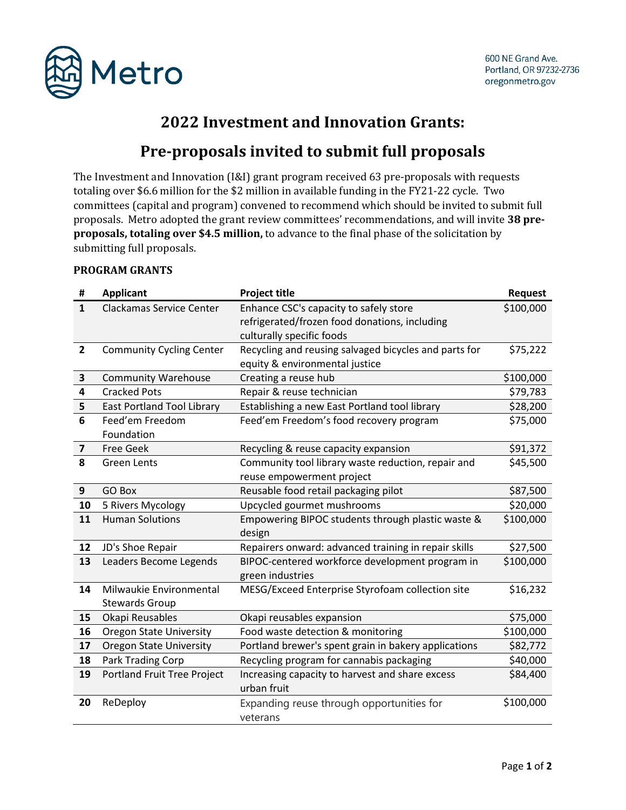

## **2022 Investment and Innovation Grants:**

## **Pre-proposals invited to submit full proposals**

The Investment and Innovation (I&I) grant program received 63 pre-proposals with requests totaling over \$6.6 million for the \$2 million in available funding in the FY21-22 cycle. Two committees (capital and program) convened to recommend which should be invited to submit full proposals. Metro adopted the grant review committees' recommendations, and will invite **38 preproposals, totaling over \$4.5 million,** to advance to the final phase of the solicitation by submitting full proposals.

| #                       | <b>Applicant</b>                  | <b>Project title</b>                                  | Request   |
|-------------------------|-----------------------------------|-------------------------------------------------------|-----------|
| $\mathbf{1}$            | Clackamas Service Center          | Enhance CSC's capacity to safely store                | \$100,000 |
|                         |                                   | refrigerated/frozen food donations, including         |           |
|                         |                                   | culturally specific foods                             |           |
| $\overline{2}$          | <b>Community Cycling Center</b>   | Recycling and reusing salvaged bicycles and parts for | \$75,222  |
|                         |                                   | equity & environmental justice                        |           |
| $\mathbf{3}$            | <b>Community Warehouse</b>        | Creating a reuse hub                                  | \$100,000 |
| 4                       | <b>Cracked Pots</b>               | Repair & reuse technician                             | \$79,783  |
| 5                       | <b>East Portland Tool Library</b> | Establishing a new East Portland tool library         | \$28,200  |
| 6                       | Feed'em Freedom                   | Feed'em Freedom's food recovery program               | \$75,000  |
|                         | Foundation                        |                                                       |           |
| $\overline{\mathbf{z}}$ | <b>Free Geek</b>                  | Recycling & reuse capacity expansion                  | \$91,372  |
| 8                       | <b>Green Lents</b>                | Community tool library waste reduction, repair and    | \$45,500  |
|                         |                                   | reuse empowerment project                             |           |
| 9                       | GO Box                            | Reusable food retail packaging pilot                  | \$87,500  |
| 10                      | 5 Rivers Mycology                 | Upcycled gourmet mushrooms                            | \$20,000  |
| 11                      | <b>Human Solutions</b>            | Empowering BIPOC students through plastic waste &     | \$100,000 |
|                         |                                   | design                                                |           |
| 12                      | JD's Shoe Repair                  | Repairers onward: advanced training in repair skills  | \$27,500  |
| 13                      | Leaders Become Legends            | BIPOC-centered workforce development program in       | \$100,000 |
|                         |                                   | green industries                                      |           |
| 14                      | Milwaukie Environmental           | MESG/Exceed Enterprise Styrofoam collection site      | \$16,232  |
|                         | <b>Stewards Group</b>             |                                                       |           |
| 15                      | Okapi Reusables                   | Okapi reusables expansion                             | \$75,000  |
| 16                      | <b>Oregon State University</b>    | Food waste detection & monitoring                     | \$100,000 |
| 17                      | <b>Oregon State University</b>    | Portland brewer's spent grain in bakery applications  | \$82,772  |
| 18                      | Park Trading Corp                 | Recycling program for cannabis packaging              | \$40,000  |
| 19                      | Portland Fruit Tree Project       | Increasing capacity to harvest and share excess       | \$84,400  |
|                         |                                   | urban fruit                                           |           |
| 20                      | ReDeploy                          | Expanding reuse through opportunities for             | \$100,000 |
|                         |                                   | veterans                                              |           |

## **PROGRAM GRANTS**